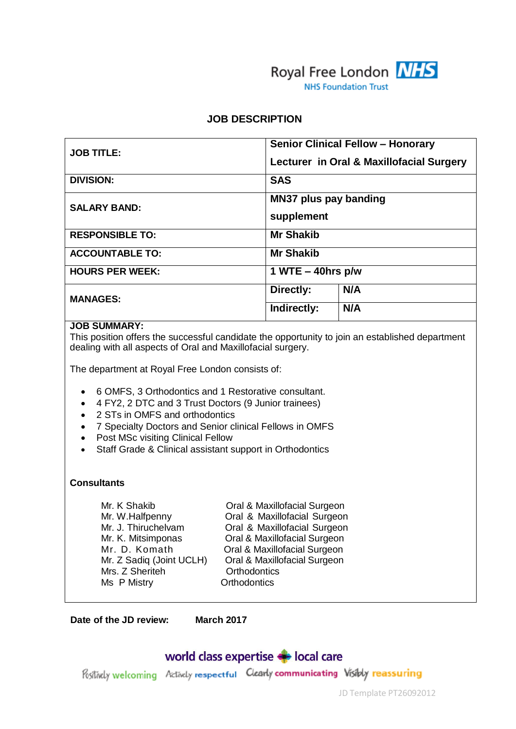

#### **JOB DESCRIPTION**

| <b>JOB TITLE:</b>      | <b>Senior Clinical Fellow - Honorary</b><br>Lecturer in Oral & Maxillofacial Surgery |
|------------------------|--------------------------------------------------------------------------------------|
| <b>DIVISION:</b>       | <b>SAS</b>                                                                           |
| <b>SALARY BAND:</b>    | <b>MN37 plus pay banding</b><br>supplement                                           |
| <b>RESPONSIBLE TO:</b> | <b>Mr Shakib</b>                                                                     |
| <b>ACCOUNTABLE TO:</b> | <b>Mr Shakib</b>                                                                     |
| <b>HOURS PER WEEK:</b> | 1 WTE $-$ 40hrs p/w                                                                  |
| <b>MANAGES:</b>        | N/A<br>Directly:                                                                     |
|                        | N/A<br>Indirectly:                                                                   |

#### **JOB SUMMARY:**

This position offers the successful candidate the opportunity to join an established department dealing with all aspects of Oral and Maxillofacial surgery.

The department at Royal Free London consists of:

- 6 OMFS, 3 Orthodontics and 1 Restorative consultant.
- 4 FY2, 2 DTC and 3 Trust Doctors (9 Junior trainees)
- 2 STs in OMFS and orthodontics
- 7 Specialty Doctors and Senior clinical Fellows in OMFS
- Post MSc visiting Clinical Fellow
- Staff Grade & Clinical assistant support in Orthodontics

#### **Consultants**

Mrs. Z Sheriteh **Calculation Control**<br>
Ms P Mistry **Control** Orthodontics Ms P Mistry

Mr. K Shakib Oral & Maxillofacial Surgeon Mr. W.Halfpenny **Oral & Maxillofacial Surgeon** Mr. J. Thiruchelvam Oral & Maxillofacial Surgeon Mr. K. Mitsimponas **Oral & Maxillofacial Surgeon** Mr. D. Komath **Oral & Maxillofacial Surgeon** Mr. Z Sadiq (Joint UCLH) Oral & Maxillofacial Surgeon

**Date of the JD review: March 2017**

# world class expertise **State** local care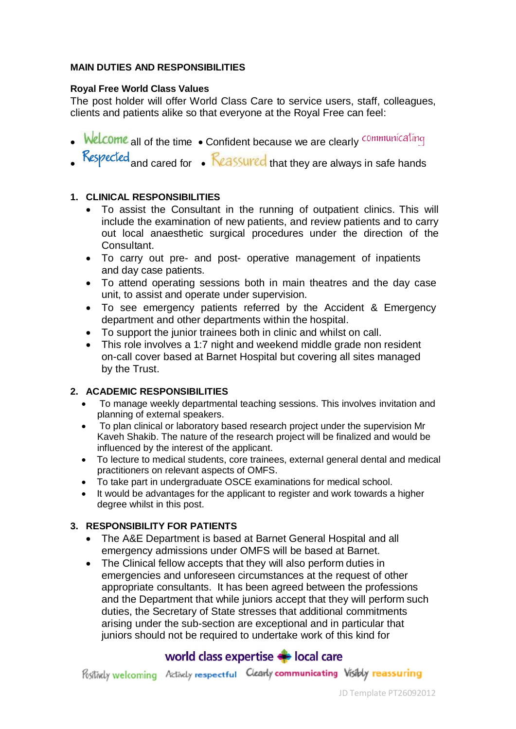#### **MAIN DUTIES AND RESPONSIBILITIES**

#### **Royal Free World Class Values**

The post holder will offer World Class Care to service users, staff, colleagues, clients and patients alike so that everyone at the Royal Free can feel:

- Welcome all of the time . Confident because we are clearly communicating
- Respected and cared for . Reassured that they are always in safe hands

## **1. CLINICAL RESPONSIBILITIES**

- To assist the Consultant in the running of outpatient clinics. This will include the examination of new patients, and review patients and to carry out local anaesthetic surgical procedures under the direction of the Consultant.
- To carry out pre- and post- operative management of inpatients and day case patients.
- To attend operating sessions both in main theatres and the day case unit, to assist and operate under supervision.
- To see emergency patients referred by the Accident & Emergency department and other departments within the hospital.
- To support the junior trainees both in clinic and whilst on call.
- This role involves a 1:7 night and weekend middle grade non resident on-call cover based at Barnet Hospital but covering all sites managed by the Trust.

## **2. ACADEMIC RESPONSIBILITIES**

- To manage weekly departmental teaching sessions. This involves invitation and planning of external speakers.
- To plan clinical or laboratory based research project under the supervision Mr Kaveh Shakib. The nature of the research project will be finalized and would be influenced by the interest of the applicant.
- To lecture to medical students, core trainees, external general dental and medical practitioners on relevant aspects of OMFS.
- To take part in undergraduate OSCE examinations for medical school.
- It would be advantages for the applicant to register and work towards a higher degree whilst in this post.

#### **3. RESPONSIBILITY FOR PATIENTS**

- The A&E Department is based at Barnet General Hospital and all emergency admissions under OMFS will be based at Barnet.
- The Clinical fellow accepts that they will also perform duties in emergencies and unforeseen circumstances at the request of other appropriate consultants. It has been agreed between the professions and the Department that while juniors accept that they will perform such duties, the Secretary of State stresses that additional commitments arising under the sub-section are exceptional and in particular that juniors should not be required to undertake work of this kind for

# world class expertise  $\blacktriangleright$  local care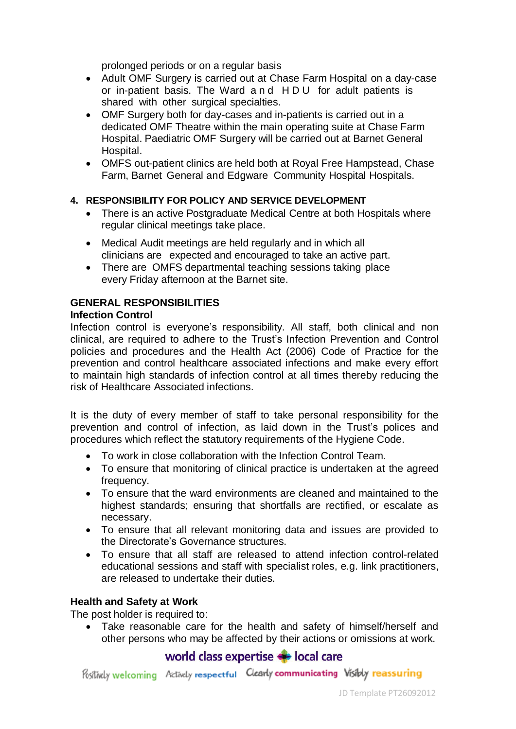prolonged periods or on a regular basis

- Adult OMF Surgery is carried out at Chase Farm Hospital on a day-case or in-patient basis. The Ward and HDU for adult patients is shared with other surgical specialties.
- OMF Surgery both for day-cases and in-patients is carried out in a dedicated OMF Theatre within the main operating suite at Chase Farm Hospital. Paediatric OMF Surgery will be carried out at Barnet General Hospital.
- OMFS out-patient clinics are held both at Royal Free Hampstead, Chase Farm, Barnet General and Edgware Community Hospital Hospitals.

## **4. RESPONSIBILITY FOR POLICY AND SERVICE DEVELOPMENT**

- There is an active Postgraduate Medical Centre at both Hospitals where regular clinical meetings take place.
- Medical Audit meetings are held regularly and in which all clinicians are expected and encouraged to take an active part.
- There are OMFS departmental teaching sessions taking place every Friday afternoon at the Barnet site.

# **GENERAL RESPONSIBILITIES**

#### **Infection Control**

Infection control is everyone's responsibility. All staff, both clinical and non clinical, are required to adhere to the Trust's Infection Prevention and Control policies and procedures and the Health Act (2006) Code of Practice for the prevention and control healthcare associated infections and make every effort to maintain high standards of infection control at all times thereby reducing the risk of Healthcare Associated infections.

It is the duty of every member of staff to take personal responsibility for the prevention and control of infection, as laid down in the Trust's polices and procedures which reflect the statutory requirements of the Hygiene Code.

- To work in close collaboration with the Infection Control Team.
- To ensure that monitoring of clinical practice is undertaken at the agreed frequency.
- To ensure that the ward environments are cleaned and maintained to the highest standards; ensuring that shortfalls are rectified, or escalate as necessary.
- To ensure that all relevant monitoring data and issues are provided to the Directorate's Governance structures.
- To ensure that all staff are released to attend infection control-related educational sessions and staff with specialist roles, e.g. link practitioners, are released to undertake their duties.

#### **Health and Safety at Work**

The post holder is required to:

 Take reasonable care for the health and safety of himself/herself and other persons who may be affected by their actions or omissions at work.

# world class expertise  $\blacktriangleright$  local care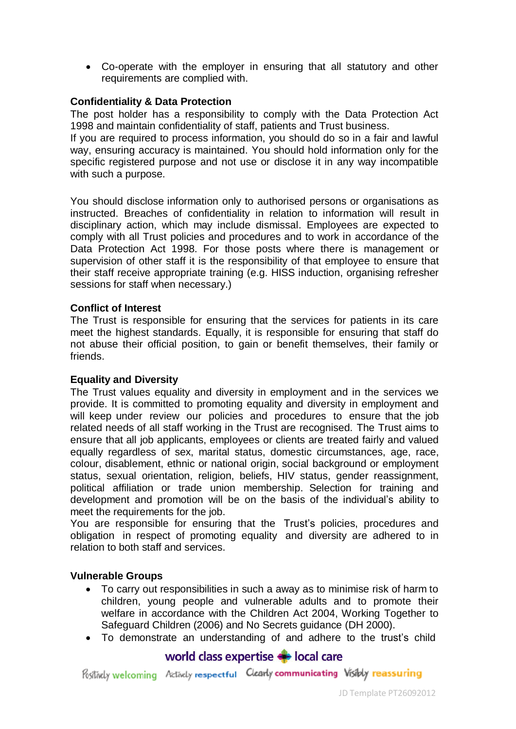Co-operate with the employer in ensuring that all statutory and other requirements are complied with.

## **Confidentiality & Data Protection**

The post holder has a responsibility to comply with the Data Protection Act 1998 and maintain confidentiality of staff, patients and Trust business.

If you are required to process information, you should do so in a fair and lawful way, ensuring accuracy is maintained. You should hold information only for the specific registered purpose and not use or disclose it in any way incompatible with such a purpose.

You should disclose information only to authorised persons or organisations as instructed. Breaches of confidentiality in relation to information will result in disciplinary action, which may include dismissal. Employees are expected to comply with all Trust policies and procedures and to work in accordance of the Data Protection Act 1998. For those posts where there is management or supervision of other staff it is the responsibility of that employee to ensure that their staff receive appropriate training (e.g. HISS induction, organising refresher sessions for staff when necessary.)

#### **Conflict of Interest**

The Trust is responsible for ensuring that the services for patients in its care meet the highest standards. Equally, it is responsible for ensuring that staff do not abuse their official position, to gain or benefit themselves, their family or friends.

#### **Equality and Diversity**

The Trust values equality and diversity in employment and in the services we provide. It is committed to promoting equality and diversity in employment and will keep under review our policies and procedures to ensure that the job related needs of all staff working in the Trust are recognised. The Trust aims to ensure that all job applicants, employees or clients are treated fairly and valued equally regardless of sex, marital status, domestic circumstances, age, race, colour, disablement, ethnic or national origin, social background or employment status, sexual orientation, religion, beliefs, HIV status, gender reassignment, political affiliation or trade union membership. Selection for training and development and promotion will be on the basis of the individual's ability to meet the requirements for the job.

You are responsible for ensuring that the Trust's policies, procedures and obligation in respect of promoting equality and diversity are adhered to in relation to both staff and services.

#### **Vulnerable Groups**

- To carry out responsibilities in such a away as to minimise risk of harm to children, young people and vulnerable adults and to promote their welfare in accordance with the Children Act 2004, Working Together to Safeguard Children (2006) and No Secrets guidance (DH 2000).
- To demonstrate an understanding of and adhere to the trust's child

## world class expertise  $\blacktriangleright$  local care